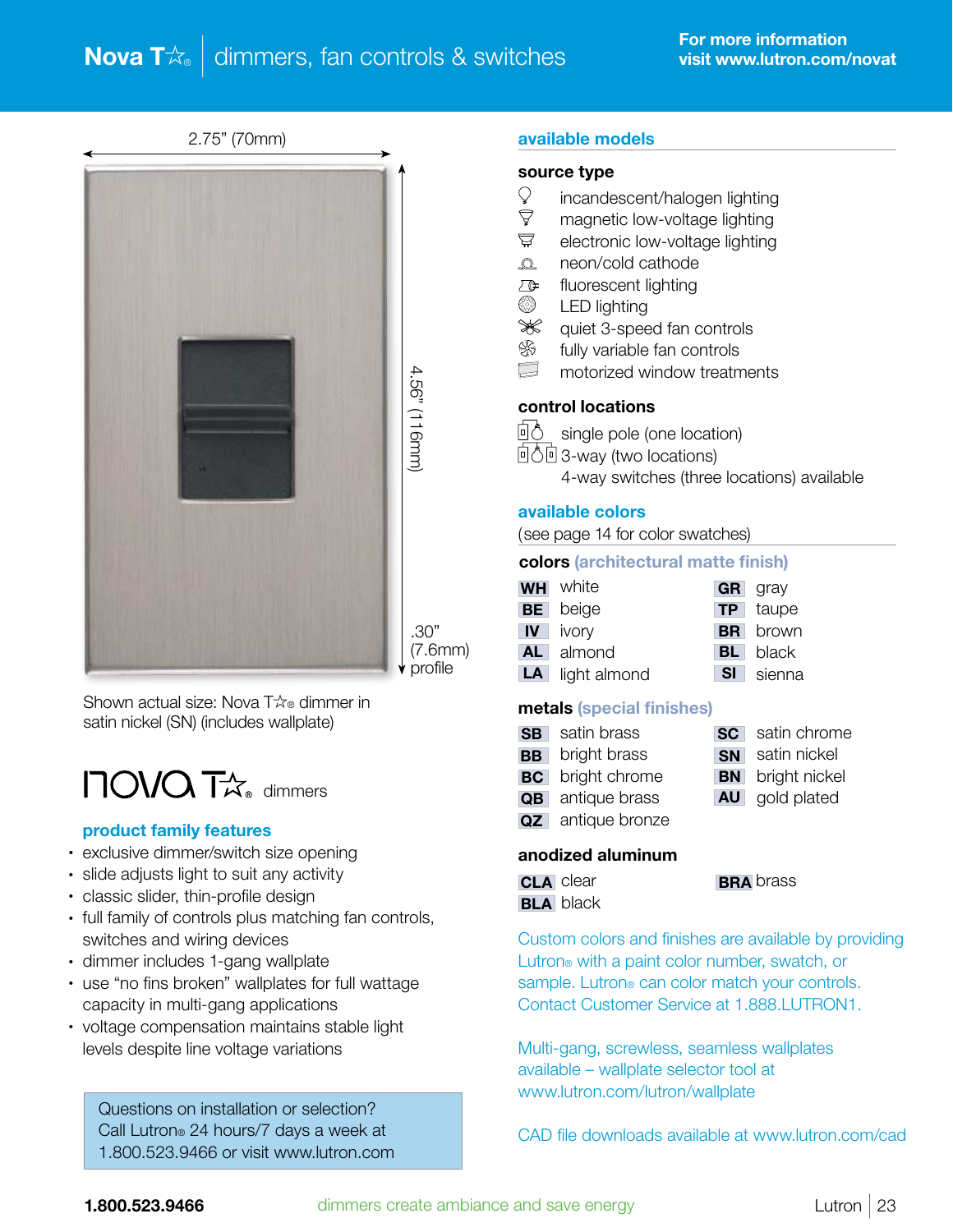# **Nova T** $\&$   $\overline{\mathsf{d}}$  dimmers, fan controls & switches

2.75" (70mm)



.30"

Shown actual size: Nova  $T\hat{\alpha}$  dimmer in satin nickel (SN) (includes wallplate)

# $\Box$ OVQ  $\Gamma$  $\!\alpha$ <sub>®</sub> dimmers

#### product family features

- exclusive dimmer/switch size opening
- slide adjusts light to suit any activity
- classic slider, thin-profile design
- full family of controls plus matching fan controls, switches and wiring devices
- dimmer includes 1-gang wallplate
- use "no fins broken" wallplates for full wattage capacity in multi-gang applications
- voltage compensation maintains stable light levels despite line voltage variations

 Questions on installation or selection? Call Lutron® 24 hours/7 days a week at 1.800.523.9466 or visit www.lutron.com

#### available models

#### source type

- $\degree$  incandescent/halogen lighting<br> $\degree$  magnetic low-voltage lighting
- magnetic low-voltage lighting
- $\nabla$  electronic low-voltage lighting
- **Q** neon/cold cathode
- $\sqrt{f}$  fluorescent lighting
- **S** LED lighting
- Sollary equiet 3-speed fan controls
- **S** fully variable fan controls
- motorized window treatments

#### control locations

回う single pole (one location)

- 回 $\overline{0}\overline{0}$  3-way (two locations)
	- 4-way switches (three locations) available

#### available colors

(see page 14 for color swatches)

#### colors (architectural matte finish)

| <b>WH</b> white        |      | <b>GR</b> gray  |
|------------------------|------|-----------------|
| <b>BE</b> beige        |      | <b>TP</b> taupe |
| <b>IV</b> ivory        |      | <b>BR</b> brown |
| AL almond              |      | <b>BL</b> black |
| <b>LA</b> light almond | SI I | sienna          |

#### metals (special finishes)

| <b>SB</b> satin brass<br><b>SC</b> satin chrome |  |
|-------------------------------------------------|--|
|-------------------------------------------------|--|

- **BB** bright brass **SN** satin nickel **BN** bright nickel
- **BC** bright chrome
- QB antique brass **AU** gold plated
- **QZ** antique bronze

# anodized aluminum

| <b>CLA</b> clear | <b>BRA</b> brass |
|------------------|------------------|
| <b>BLA</b> black |                  |

Custom colors and finishes are available by providing Lutron® with a paint color number, swatch, or sample. Lutron® can color match your controls. Contact Customer Service at 1,888.LUTRON1.

Multi-gang, screwless, seamless wallplates available – wallplate selector tool at www.lutron.com/lutron/wallplate

CAD file downloads available at www.lutron.com/cad

(7.6mm) profile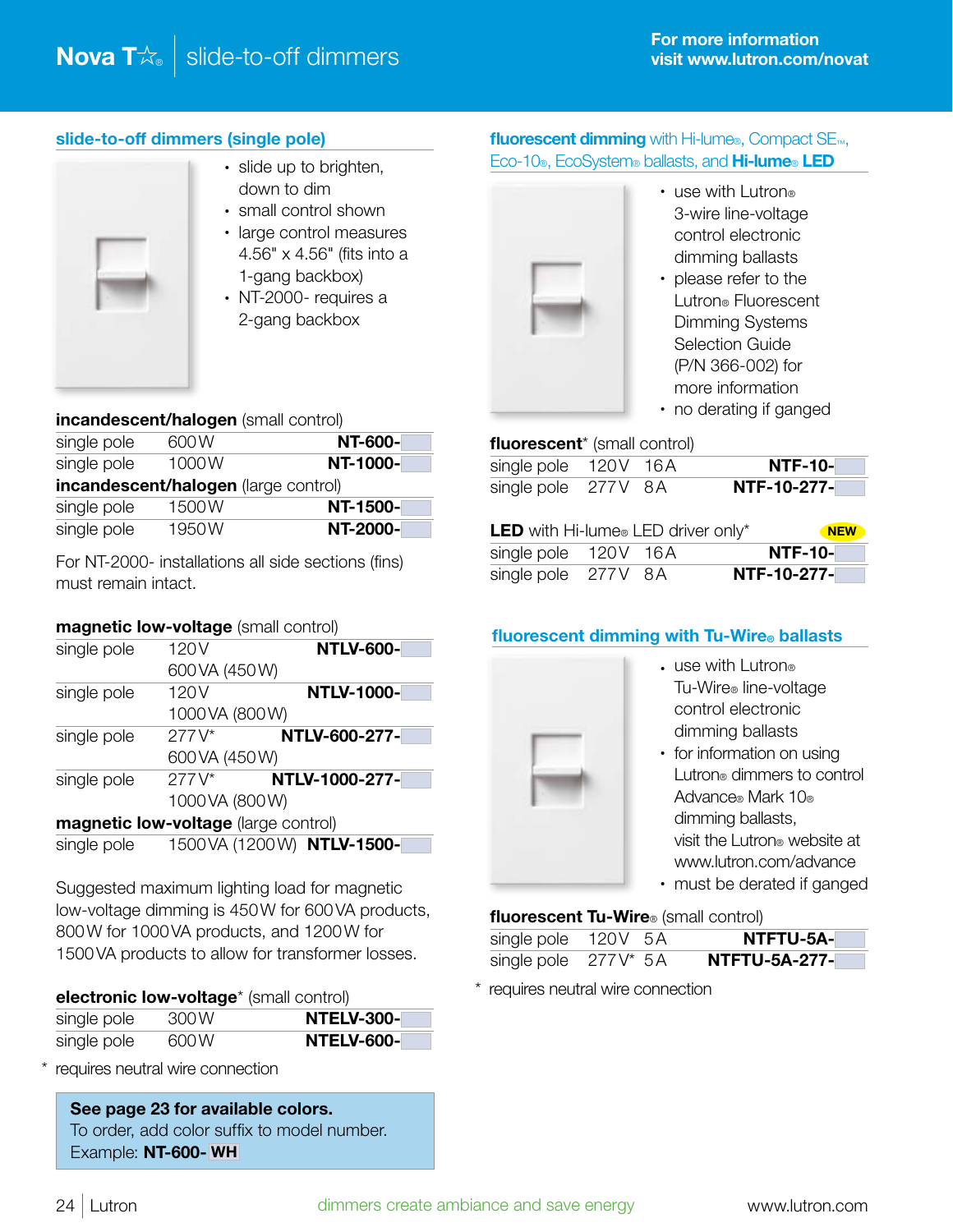# slide-to-off dimmers (single pole)



- slide up to brighten, down to dim
- small control shown
- large control measures 4.56" x 4.56" (fits into a 1-gang backbox)
- NT-2000- requires a 2-gang backbox

#### incandescent/halogen (small control)

|             | $\frac{1}{2}$                        |                |
|-------------|--------------------------------------|----------------|
| single pole | 600W                                 | <b>NT-600-</b> |
| single pole | 1000W                                | NT-1000-       |
|             | incandescent/halogen (large control) |                |
| single pole | 1500W                                | NT-1500-       |
| single pole | 1950W                                | NT-2000-       |

For NT-2000- installations all side sections (fins) must remain intact.

# magnetic low-voltage (small control)

| single pole             | 120 <sub>V</sub>                     | <b>NTLV-600-</b>            |
|-------------------------|--------------------------------------|-----------------------------|
|                         | 600 VA (450 W)                       |                             |
| single pole             | 120 <sub>V</sub>                     | <b>NTLV-1000-</b>           |
|                         | 1000 VA (800 W)                      |                             |
| $277V^*$<br>single pole |                                      | NTLV-600-277-               |
|                         | 600 VA (450 W)                       |                             |
| single pole             | $277V^*$                             | NTLV-1000-277-              |
|                         | 1000 VA (800 W)                      |                             |
|                         | magnetic low-voltage (large control) |                             |
| single pole             |                                      | 1500 VA (1200 W) NTLV-1500- |

Suggested maximum lighting load for magnetic low-voltage dimming is 450W for 600VA products, 800W for 1000VA products, and 1200W for 1500VA products to allow for transformer losses.

| electronic low-voltage* (small control) |      |                   |  |
|-----------------------------------------|------|-------------------|--|
| single pole                             | 300W | <b>NTELV-300-</b> |  |
| single pole                             | 600W | <b>NTELV-600-</b> |  |

\* requires neutral wire connection

See page 23 for available colors. To order, add color suffix to model number. Example: NT-600- WH

# fluorescent dimming with Hi-lume®, Compact SE<sub>™</sub>, Eco-10®, EcoSystem® ballasts, and Hi-lume® LED



- use with Lutron® 3-wire line-voltage control electronic dimming ballasts
- please refer to the Lutron® Fluorescent Dimming Systems Selection Guide (P/N 366-002) for more information
- no derating if ganged

#### fluorescent<sup>\*</sup> (small control)

| single pole 120V 16A |  | <b>NTF-10-</b> |
|----------------------|--|----------------|
| single pole 277V 8A  |  | NTF-10-277-    |

| <b>LED</b> with Hi-lume® LED driver only* | <b>NEW</b> |                |
|-------------------------------------------|------------|----------------|
| single pole 120V 16A                      |            | <b>NTF-10-</b> |
| single pole 277V 8A                       |            | NTF-10-277-    |

# fluorescent dimming with Tu-Wire® ballasts



- use with Lutron® Tu-Wire® line-voltage control electronic dimming ballasts
- for information on using Lutron® dimmers to control Advance® Mark 10® dimming ballasts, visit the Lutron® website at www.lutron.com/advance
- must be derated if ganged

# fluorescent Tu-Wire<sup>®</sup> (small control)

| single pole 120V 5A  |  | NTFTU-5A-            |
|----------------------|--|----------------------|
| single pole 277V* 5A |  | <b>NTFTU-5A-277-</b> |

\* requires neutral wire connection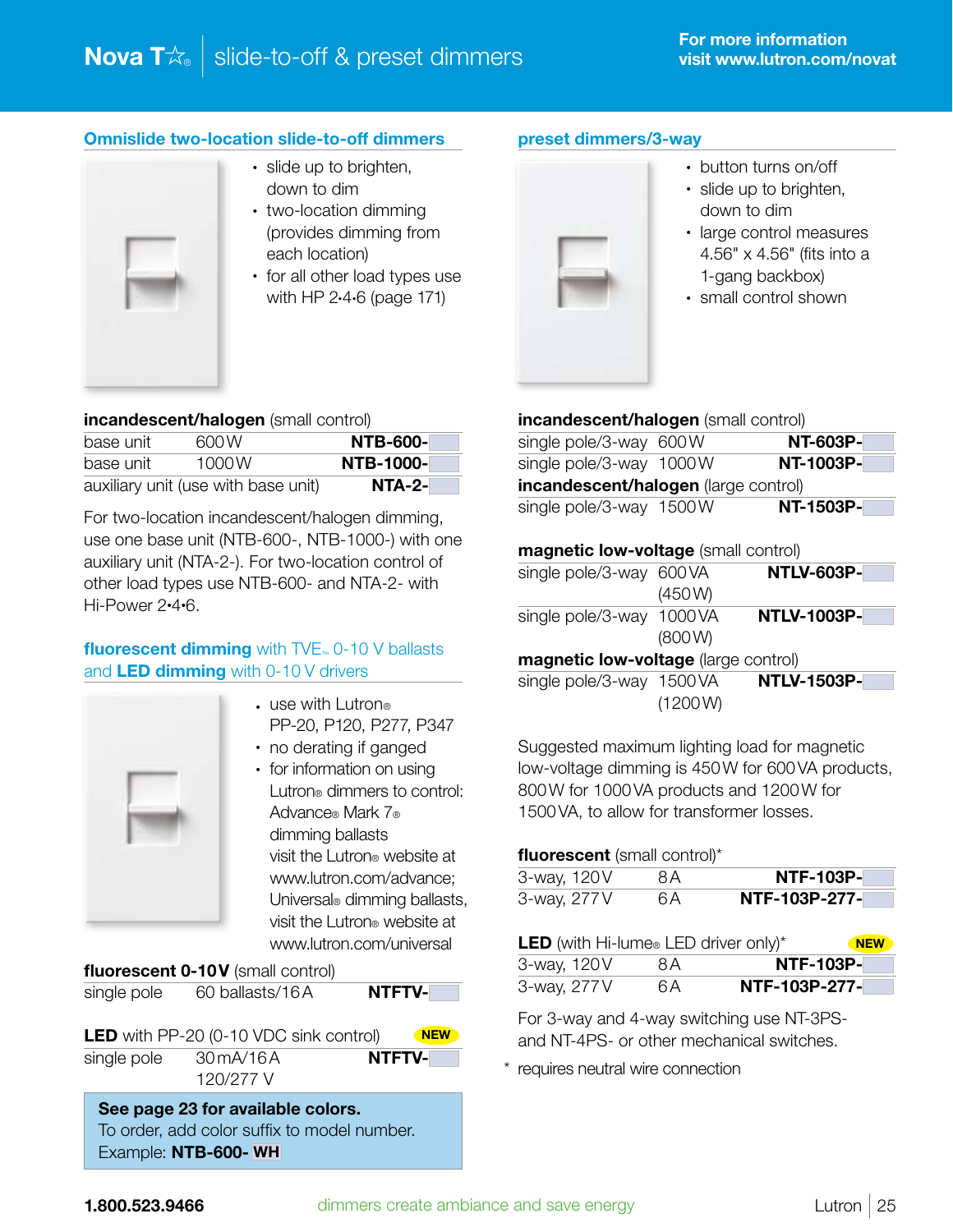# Omnislide two-location slide-to-off dimmers



- slide up to brighten, down to dim
- two-location dimming (provides dimming from each location)
- for all other load types use with HP 2•4•6 (page 171)

#### incandescent/halogen (small control)

| base unit | 600 W                               | <b>NTB-600-</b>  |
|-----------|-------------------------------------|------------------|
| base unit | 1000W                               | <b>NTB-1000-</b> |
|           | auxiliary unit (use with base unit) | <b>NTA-2-</b>    |

For two-location incandescent/halogen dimming, use one base unit (NTB-600-, NTB-1000-) with one auxiliary unit (NTA-2-). For two-location control of other load types use NTB-600- and NTA-2- with Hi-Power 2•4•6.

# fluorescent dimming with TVE<sub>™</sub> 0-10 V ballasts and LED dimming with 0-10 V drivers



- $\cdot$  use with Lutron® PP-20, P120, P277, P347
- no derating if ganged
- for information on using Lutron® dimmers to control: Advance® Mark 7® dimming ballasts visit the Lutron® website at www.lutron.com/advance; Universal® dimming ballasts, visit the Lutron® website at www.lutron.com/universal

fluorescent 0-10V (small control)

| single pole | 60 ballasts/16A | <b>NTFTV-</b> |
|-------------|-----------------|---------------|
|             |                 |               |

**LED** with PP-20 (0-10 VDC sink control)  $N$ single pole 30 mA/16A **NTFTV-**120/277 V **\* 111 IV-**<br>120/277 V

See page 23 for available colors. To order, add color suffix to model number. Example: NTB-600- WH

# preset dimmers/3-way



- button turns on/off
- slide up to brighten, down to dim
- large control measures 4.56" x 4.56" (fits into a 1-gang backbox)
- small control shown

| incandescent/halogen (small control) |  |                 |  |
|--------------------------------------|--|-----------------|--|
| single pole/3-way 600W               |  | <b>NT-603P-</b> |  |
| single pole/3-way 1000W              |  | NT-1003P-       |  |
| incandescent/halogen (large control) |  |                 |  |

# single pole/3-way  $1500W$  NT-1503P-

#### magnetic low-voltage (small control)

| single pole/3-way 600VA                     |         | <b>NTLV-603P-</b>  |
|---------------------------------------------|---------|--------------------|
|                                             | (450W)  |                    |
| single pole/3-way 1000VA                    |         | <b>NTLV-1003P-</b> |
|                                             | (800W)  |                    |
| <b>magnetic low-voltage</b> (large control) |         |                    |
| single pole/3-way 1500VA                    |         | <b>NTLV-1503P-</b> |
|                                             | (1200W) |                    |
|                                             |         |                    |

Suggested maximum lighting load for magnetic low-voltage dimming is 450W for 600VA products, 800W for 1000VA products and 1200W for 1500VA, to allow for transformer losses.

# fluorescent (small control)\*

| 3-way, 120V | 8A  | <b>NTF-103P-</b> |
|-------------|-----|------------------|
| 3-way, 277V | 6 A | NTF-103P-277-    |

| <b>LED</b> (with Hi-lume <sup>®</sup> LED driver only) <sup>*</sup> |     |                  | <b>NEW</b> |
|---------------------------------------------------------------------|-----|------------------|------------|
| 3-way, 120V                                                         | 8 A | <b>NTF-103P-</b> |            |
| 3-way, 277 V                                                        | 6 A | NTF-103P-277-    |            |

For 3-way and 4-way switching use NT-3PSand NT-4PS- or other mechanical switches.